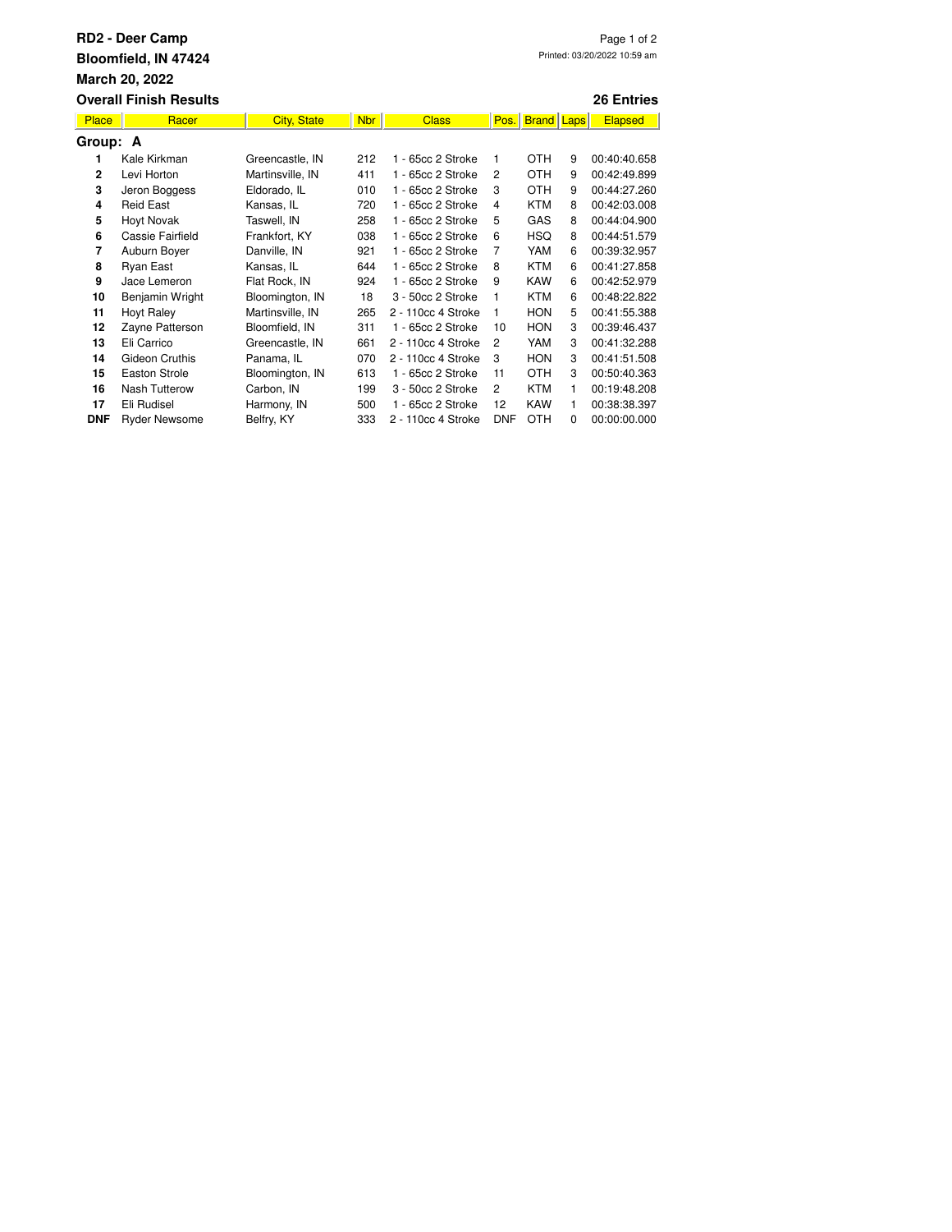| <b>RD2 - Deer Camp</b><br>Page 1 of 2<br>Printed: 03/20/2022 10:59 am<br>Bloomfield, IN 47424<br>March 20, 2022 |                      |                    |            |                    |                |              |          |                   |  |  |  |
|-----------------------------------------------------------------------------------------------------------------|----------------------|--------------------|------------|--------------------|----------------|--------------|----------|-------------------|--|--|--|
| <b>Overall Finish Results</b>                                                                                   |                      |                    |            |                    |                |              |          | <b>26 Entries</b> |  |  |  |
| Place                                                                                                           | Racer                | <b>City, State</b> | <b>Nbr</b> | <b>Class</b>       | Pos.           | <b>Brand</b> | Laps     | <b>Elapsed</b>    |  |  |  |
| Group: A                                                                                                        |                      |                    |            |                    |                |              |          |                   |  |  |  |
| 1                                                                                                               | Kale Kirkman         | Greencastle, IN    | 212        | 1 - 65cc 2 Stroke  | 1              | OTH          | 9        | 00:40:40.658      |  |  |  |
| $\mathbf{2}$                                                                                                    | Levi Horton          | Martinsville, IN   | 411        | 1 - 65cc 2 Stroke  | $\overline{c}$ | <b>OTH</b>   | 9        | 00:42:49.899      |  |  |  |
| 3                                                                                                               | Jeron Boggess        | Eldorado, IL       | 010        | 1 - 65cc 2 Stroke  | 3              | <b>OTH</b>   | 9        | 00:44:27.260      |  |  |  |
| 4                                                                                                               | <b>Reid East</b>     | Kansas. IL         | 720        | 1 - 65cc 2 Stroke  | 4              | <b>KTM</b>   | 8        | 00:42:03.008      |  |  |  |
| 5                                                                                                               | <b>Hoyt Novak</b>    | Taswell, IN        | 258        | 1 - 65cc 2 Stroke  | 5              | GAS          | 8        | 00:44:04.900      |  |  |  |
| 6                                                                                                               | Cassie Fairfield     | Frankfort, KY      | 038        | 1 - 65cc 2 Stroke  | 6              | <b>HSQ</b>   | 8        | 00:44:51.579      |  |  |  |
| $\overline{7}$                                                                                                  | Auburn Boyer         | Danville, IN       | 921        | 1 - 65cc 2 Stroke  | 7              | YAM          | 6        | 00:39:32.957      |  |  |  |
| 8                                                                                                               | Ryan East            | Kansas, IL         | 644        | 1 - 65cc 2 Stroke  | 8              | <b>KTM</b>   | 6        | 00:41:27.858      |  |  |  |
| 9                                                                                                               | Jace Lemeron         | Flat Rock, IN      | 924        | 1 - 65cc 2 Stroke  | 9              | <b>KAW</b>   | 6        | 00:42:52.979      |  |  |  |
| 10                                                                                                              | Benjamin Wright      | Bloomington, IN    | 18         | 3 - 50cc 2 Stroke  | 1              | <b>KTM</b>   | 6        | 00:48:22.822      |  |  |  |
| 11                                                                                                              | <b>Hoyt Raley</b>    | Martinsville, IN   | 265        | 2 - 110cc 4 Stroke | 1              | <b>HON</b>   | 5        | 00:41:55.388      |  |  |  |
| 12                                                                                                              | Zayne Patterson      | Bloomfield, IN     | 311        | 1 - 65cc 2 Stroke  | 10             | <b>HON</b>   | 3        | 00:39:46.437      |  |  |  |
| 13                                                                                                              | Eli Carrico          | Greencastle, IN    | 661        | 2 - 110cc 4 Stroke | $\overline{c}$ | YAM          | 3        | 00:41:32.288      |  |  |  |
| 14                                                                                                              | Gideon Cruthis       | Panama, IL         | 070        | 2 - 110cc 4 Stroke | 3              | <b>HON</b>   | 3        | 00:41:51.508      |  |  |  |
| 15                                                                                                              | <b>Easton Strole</b> | Bloomington, IN    | 613        | 1 - 65cc 2 Stroke  | 11             | <b>OTH</b>   | 3        | 00:50:40.363      |  |  |  |
| 16                                                                                                              | Nash Tutterow        | Carbon, IN         | 199        | 3 - 50cc 2 Stroke  | $\overline{c}$ | <b>KTM</b>   | 1        | 00:19:48.208      |  |  |  |
| 17                                                                                                              | Eli Rudisel          | Harmony, IN        | 500        | 1 - 65cc 2 Stroke  | 12             | <b>KAW</b>   | 1        | 00:38:38.397      |  |  |  |
| <b>DNF</b>                                                                                                      | <b>Ryder Newsome</b> | Belfry, KY         | 333        | 2 - 110cc 4 Stroke | <b>DNF</b>     | <b>OTH</b>   | $\Omega$ | 00:00:00.000      |  |  |  |